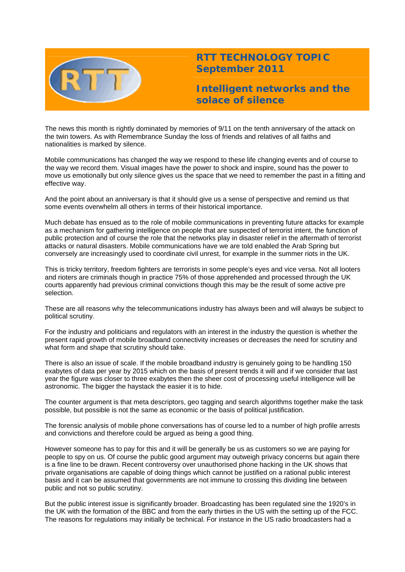

## **RTT TECHNOLOGY TOPIC September 2011**

**Intelligent networks and the solace of silence** 

The news this month is rightly dominated by memories of 9/11 on the tenth anniversary of the attack on the twin towers. As with Remembrance Sunday the loss of friends and relatives of all faiths and nationalities is marked by silence.

Mobile communications has changed the way we respond to these life changing events and of course to the way we record them. Visual images have the power to shock and inspire, sound has the power to move us emotionally but only silence gives us the space that we need to remember the past in a fitting and effective way.

And the point about an anniversary is that it should give us a sense of perspective and remind us that some events overwhelm all others in terms of their historical importance.

Much debate has ensued as to the role of mobile communications in preventing future attacks for example as a mechanism for gathering intelligence on people that are suspected of terrorist intent, the function of public protection and of course the role that the networks play in disaster relief in the aftermath of terrorist attacks or natural disasters. Mobile communications have we are told enabled the Arab Spring but conversely are increasingly used to coordinate civil unrest, for example in the summer riots in the UK.

This is tricky territory, freedom fighters are terrorists in some people's eyes and vice versa. Not all looters and rioters are criminals though in practice 75% of those apprehended and processed through the UK courts apparently had previous criminal convictions though this may be the result of some active pre selection.

These are all reasons why the telecommunications industry has always been and will always be subject to political scrutiny.

For the industry and politicians and regulators with an interest in the industry the question is whether the present rapid growth of mobile broadband connectivity increases or decreases the need for scrutiny and what form and shape that scrutiny should take.

There is also an issue of scale. If the mobile broadband industry is genuinely going to be handling 150 exabytes of data per year by 2015 which on the basis of present trends it will and if we consider that last year the figure was closer to three exabytes then the sheer cost of processing useful intelligence will be astronomic. The bigger the haystack the easier it is to hide.

The counter argument is that meta descriptors, geo tagging and search algorithms together make the task possible, but possible is not the same as economic or the basis of political justification.

The forensic analysis of mobile phone conversations has of course led to a number of high profile arrests and convictions and therefore could be argued as being a good thing.

However someone has to pay for this and it will be generally be us as customers so we are paying for people to spy on us. Of course the public good argument may outweigh privacy concerns but again there is a fine line to be drawn. Recent controversy over unauthorised phone hacking in the UK shows that private organisations are capable of doing things which cannot be justified on a rational public interest basis and it can be assumed that governments are not immune to crossing this dividing line between public and not so public scrutiny.

But the public interest issue is significantly broader. Broadcasting has been regulated sine the 1920's in the UK with the formation of the BBC and from the early thirties in the US with the setting up of the FCC. The reasons for regulations may initially be technical. For instance in the US radio broadcasters had a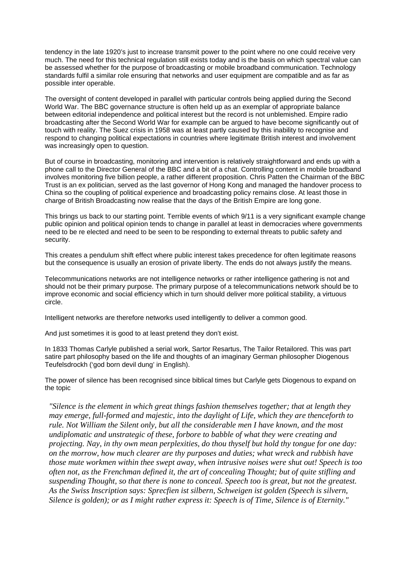tendency in the late 1920's just to increase transmit power to the point where no one could receive very much. The need for this technical regulation still exists today and is the basis on which spectral value can be assessed whether for the purpose of broadcasting or mobile broadband communication. Technology standards fulfil a similar role ensuring that networks and user equipment are compatible and as far as possible inter operable.

The oversight of content developed in parallel with particular controls being applied during the Second World War. The BBC governance structure is often held up as an exemplar of appropriate balance between editorial independence and political interest but the record is not unblemished. Empire radio broadcasting after the Second World War for example can be argued to have become significantly out of touch with reality. The Suez crisis in 1958 was at least partly caused by this inability to recognise and respond to changing political expectations in countries where legitimate British interest and involvement was increasingly open to question.

But of course in broadcasting, monitoring and intervention is relatively straightforward and ends up with a phone call to the Director General of the BBC and a bit of a chat. Controlling content in mobile broadband involves monitoring five billion people, a rather different proposition. Chris Patten the Chairman of the BBC Trust is an ex politician, served as the last governor of Hong Kong and managed the handover process to China so the coupling of political experience and broadcasting policy remains close. At least those in charge of British Broadcasting now realise that the days of the British Empire are long gone.

This brings us back to our starting point. Terrible events of which 9/11 is a very significant example change public opinion and political opinion tends to change in parallel at least in democracies where governments need to be re elected and need to be seen to be responding to external threats to public safety and security.

This creates a pendulum shift effect where public interest takes precedence for often legitimate reasons but the consequence is usually an erosion of private liberty. The ends do not always justify the means.

Telecommunications networks are not intelligence networks or rather intelligence gathering is not and should not be their primary purpose. The primary purpose of a telecommunications network should be to improve economic and social efficiency which in turn should deliver more political stability, a virtuous circle.

Intelligent networks are therefore networks used intelligently to deliver a common good.

And just sometimes it is good to at least pretend they don't exist.

In 1833 Thomas Carlyle published a serial work, Sartor Resartus, The Tailor Retailored. This was part satire part philosophy based on the life and thoughts of an imaginary German philosopher Diogenous Teufelsdrockh ('god born devil dung' in English).

The power of silence has been recognised since biblical times but Carlyle gets Diogenous to expand on the topic

*"Silence is the element in which great things fashion themselves together; that at length they may emerge, full-formed and majestic, into the daylight of Life, which they are thenceforth to rule. Not William the Silent only, but all the considerable men I have known, and the most undiplomatic and unstrategic of these, forbore to babble of what they were creating and projecting. Nay, in thy own mean perplexities, do thou thyself but hold thy tongue for one day: on the morrow, how much clearer are thy purposes and duties; what wreck and rubbish have those mute workmen within thee swept away, when intrusive noises were shut out! Speech is too often not, as the Frenchman defined it, the art of concealing Thought; but of quite stifling and suspending Thought, so that there is none to conceal. Speech too is great, but not the greatest. As the Swiss Inscription says: Sprecfien ist silbern, Schweigen ist golden (Speech is silvern, Silence is golden); or as I might rather express it: Speech is of Time, Silence is of Eternity."*